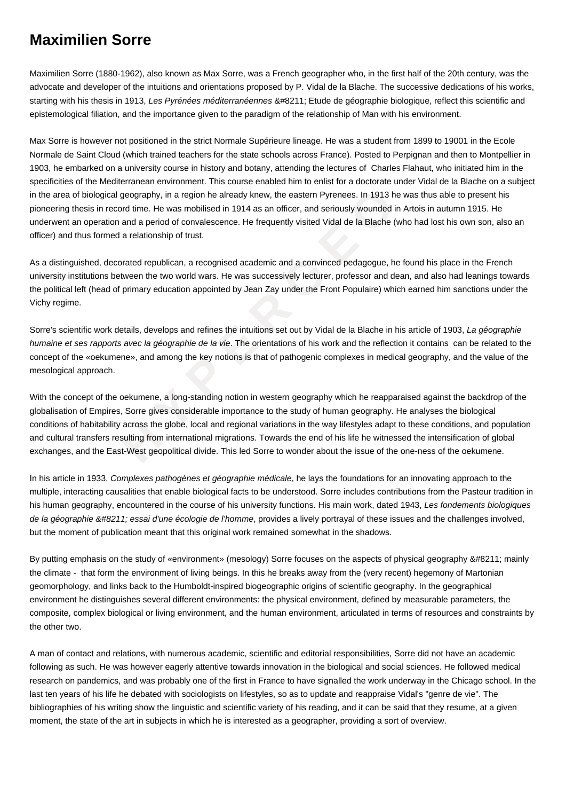## **Maximilien Sorre**

Maximilien Sorre (1880-1962), also known as Max Sorre, was a French geographer who, in the first half of the 20th century, was the advocate and developer of the intuitions and orientations proposed by P. Vidal de la Blache. The successive dedications of his works, starting with his thesis in 1913, Les Pyrénées méditerranéennes &#8211: Etude de géographie biologique, reflect this scientific and epistemological filiation, and the importance given to the paradigm of the relationship of Man with his environment.

Max Sorre is however not positioned in the strict Normale Supérieure lineage. He was a student from 1899 to 19001 in the Ecole Normale de Saint Cloud (which trained teachers for the state schools across France). Posted to Perpignan and then to Montpellier in 1903, he embarked on a university course in history and botany, attending the lectures of Charles Flahaut, who initiated him in the specificities of the Mediterranean environment. This course enabled him to enlist for a doctorate under Vidal de la Blache on a subject in the area of biological geography, in a region he already knew, the eastern Pyrenees. In 1913 he was thus able to present his pioneering thesis in record time. He was mobilised in 1914 as an officer, and seriously wounded in Artois in autumn 1915. He underwent an operation and a period of convalescence. He frequently visited Vidal de la Blache (who had lost his own son, also an officer) and thus formed a relationship of trust.

As a distinguished, decorated republican, a recognised academic and a convinced pedagogue, he found his place in the French university institutions between the two world wars. He was successively lecturer, professor and dean, and also had leanings towards the political left (head of primary education appointed by Jean Zay under the Front Populaire) which earned him sanctions under the Vichy regime.

Sorre's scientific work details, develops and refines the intuitions set out by Vidal de la Blache in his article of 1903, La géographie humaine et ses rapports avec la géographie de la vie. The orientations of his work and the reflection it contains can be related to the concept of the «oekumene», and among the key notions is that of pathogenic complexes in medical geography, and the value of the mesological approach.

dogical geography, in a region he already knew, the eastern Pyrenees. In 1913 he w<br>in record time. He was mobilised in 1914 as an officer, and seriously wounded in A<br>ration and a period of convalescence. He frequently visi With the concept of the oekumene, a long-standing notion in western geography which he reapparaised against the backdrop of the globalisation of Empires, Sorre gives considerable importance to the study of human geography. He analyses the biological conditions of habitability across the globe, local and regional variations in the way lifestyles adapt to these conditions, and population and cultural transfers resulting from international migrations. Towards the end of his life he witnessed the intensification of global exchanges, and the East-West geopolitical divide. This led Sorre to wonder about the issue of the one-ness of the oekumene.

In his article in 1933, Complexes pathogènes et géographie médicale, he lays the foundations for an innovating approach to the multiple, interacting causalities that enable biological facts to be understood. Sorre includes contributions from the Pasteur tradition in his human geography, encountered in the course of his university functions. His main work, dated 1943, Les fondements biologiques de la géographie – essai d'une écologie de l'homme, provides a lively portraval of these issues and the challenges involved, but the moment of publication meant that this original work remained somewhat in the shadows.

By putting emphasis on the study of «environment» (mesology) Sorre focuses on the aspects of physical geography – mainly the climate - that form the environment of living beings. In this he breaks away from the (very recent) hegemony of Martonian geomorphology, and links back to the Humboldt-inspired biogeographic origins of scientific geography. In the geographical environment he distinguishes several different environments: the physical environment, defined by measurable parameters, the composite, complex biological or living environment, and the human environment, articulated in terms of resources and constraints by the other two.

A man of contact and relations, with numerous academic, scientific and editorial responsibilities, Sorre did not have an academic following as such. He was however eagerly attentive towards innovation in the biological and social sciences. He followed medical research on pandemics, and was probably one of the first in France to have signalled the work underway in the Chicago school. In the last ten years of his life he debated with sociologists on lifestyles, so as to update and reappraise Vidal's "genre de vie". The bibliographies of his writing show the linguistic and scientific variety of his reading, and it can be said that they resume, at a given moment, the state of the art in subjects in which he is interested as a geographer, providing a sort of overview.